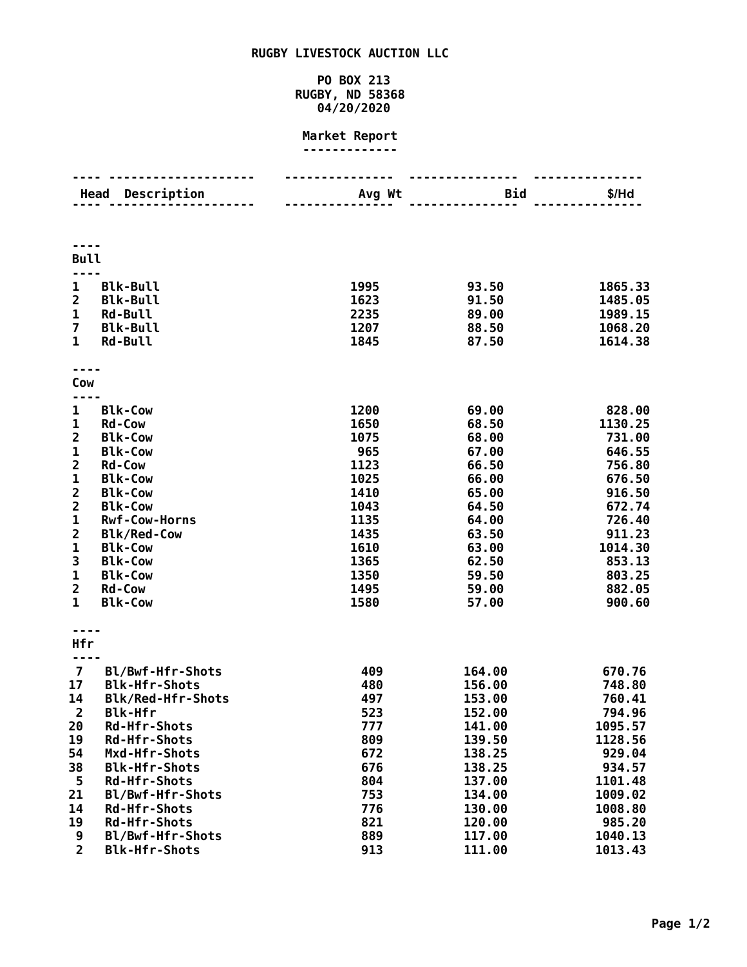# **RUGBY LIVESTOCK AUCTION LLC**

## **PO BOX 213 RUGBY, ND 58368 04/20/2020**

#### **Market Report -------------**

|                         | Description<br>Head  | Avg Wt | <b>Bid</b> | \$/Hd   |
|-------------------------|----------------------|--------|------------|---------|
|                         |                      |        |            |         |
|                         |                      |        |            |         |
|                         |                      |        |            |         |
| <b>Bull</b>             |                      |        |            |         |
|                         |                      |        |            |         |
| $\mathbf 1$             | <b>Blk-Bull</b>      | 1995   | 93.50      | 1865.33 |
| $\overline{2}$          | <b>Blk-Bull</b>      | 1623   | 91.50      | 1485.05 |
| $\mathbf 1$             | <b>Rd-Bull</b>       | 2235   | 89.00      | 1989.15 |
| $\overline{7}$          | <b>Blk-Bull</b>      | 1207   | 88.50      | 1068.20 |
| $\mathbf{1}$            | <b>Rd-Bull</b>       | 1845   | 87.50      | 1614.38 |
|                         |                      |        |            |         |
|                         |                      |        |            |         |
| Cow                     |                      |        |            |         |
|                         |                      |        |            |         |
| 1                       | <b>Blk-Cow</b>       | 1200   | 69.00      | 828.00  |
| 1                       | <b>Rd-Cow</b>        | 1650   | 68.50      | 1130.25 |
| $\overline{\mathbf{2}}$ | <b>Blk-Cow</b>       | 1075   | 68.00      | 731.00  |
| $\mathbf{1}$            | <b>Blk-Cow</b>       | 965    | 67.00      | 646.55  |
| $\overline{\mathbf{2}}$ | <b>Rd-Cow</b>        | 1123   | 66.50      | 756.80  |
| 1                       | <b>Blk-Cow</b>       | 1025   | 66.00      | 676.50  |
| $\overline{\mathbf{c}}$ | <b>Blk-Cow</b>       | 1410   | 65.00      | 916.50  |
| $\overline{\mathbf{c}}$ | <b>Blk-Cow</b>       | 1043   | 64.50      | 672.74  |
| $\mathbf 1$             | Rwf-Cow-Horns        | 1135   | 64.00      | 726.40  |
| $\overline{\mathbf{c}}$ | <b>Blk/Red-Cow</b>   | 1435   | 63.50      | 911.23  |
| $\mathbf{1}$            | <b>Blk-Cow</b>       | 1610   | 63.00      | 1014.30 |
| 3                       | <b>Blk-Cow</b>       | 1365   | 62.50      | 853.13  |
| $\mathbf 1$             | <b>Blk-Cow</b>       | 1350   | 59.50      | 803.25  |
| $\overline{\mathbf{c}}$ | <b>Rd-Cow</b>        | 1495   | 59.00      | 882.05  |
| $\mathbf{1}$            | <b>Blk-Cow</b>       | 1580   | 57.00      | 900.60  |
|                         |                      |        |            |         |
| Hfr                     |                      |        |            |         |
|                         |                      |        |            |         |
| $\overline{\mathbf{z}}$ | Bl/Bwf-Hfr-Shots     | 409    | 164.00     | 670.76  |
| 17                      | <b>Blk-Hfr-Shots</b> | 480    | 156.00     | 748.80  |
| 14                      | Blk/Red-Hfr-Shots    | 497    | 153.00     | 760.41  |
| $\overline{2}$          | <b>Blk-Hfr</b>       | 523    | 152.00     | 794.96  |
| 20                      | <b>Rd-Hfr-Shots</b>  | 777    | 141.00     | 1095.57 |
| 19                      | <b>Rd-Hfr-Shots</b>  | 809    | 139.50     | 1128.56 |
| 54                      | Mxd-Hfr-Shots        | 672    | 138.25     | 929.04  |
| 38                      | <b>Blk-Hfr-Shots</b> | 676    | 138.25     | 934.57  |
| 5                       | <b>Rd-Hfr-Shots</b>  | 804    | 137.00     | 1101.48 |
| 21                      | Bl/Bwf-Hfr-Shots     | 753    | 134.00     | 1009.02 |
| 14                      | <b>Rd-Hfr-Shots</b>  | 776    | 130.00     | 1008.80 |
| 19                      | <b>Rd-Hfr-Shots</b>  | 821    | 120.00     | 985.20  |
| 9                       | Bl/Bwf-Hfr-Shots     | 889    | 117.00     | 1040.13 |
| $\overline{2}$          | <b>Blk-Hfr-Shots</b> | 913    | 111.00     | 1013.43 |